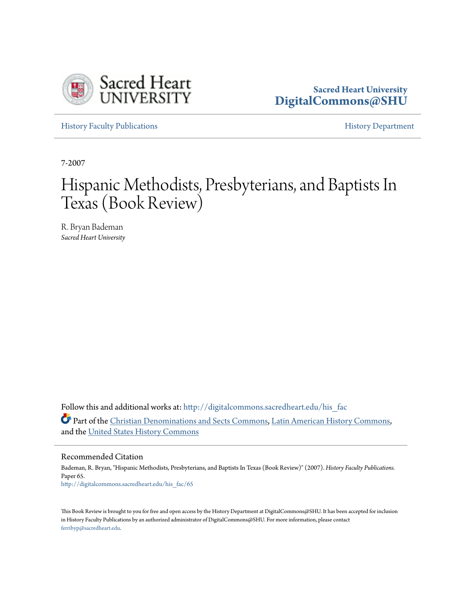

## **Sacred Heart University [DigitalCommons@SHU](http://digitalcommons.sacredheart.edu?utm_source=digitalcommons.sacredheart.edu%2Fhis_fac%2F65&utm_medium=PDF&utm_campaign=PDFCoverPages)**

[History Faculty Publications](http://digitalcommons.sacredheart.edu/his_fac?utm_source=digitalcommons.sacredheart.edu%2Fhis_fac%2F65&utm_medium=PDF&utm_campaign=PDFCoverPages) **[History Department](http://digitalcommons.sacredheart.edu/hist?utm_source=digitalcommons.sacredheart.edu%2Fhis_fac%2F65&utm_medium=PDF&utm_campaign=PDFCoverPages)** 

7-2007

## Hispanic Methodists, Presbyterians, and Baptists In Texas (Book Review)

R. Bryan Bademan *Sacred Heart University*

Follow this and additional works at: http://digitalcommons.sacredheart.edu/his fac Part of the [Christian Denominations and Sects Commons](http://network.bepress.com/hgg/discipline/1184?utm_source=digitalcommons.sacredheart.edu%2Fhis_fac%2F65&utm_medium=PDF&utm_campaign=PDFCoverPages), [Latin American History Commons](http://network.bepress.com/hgg/discipline/494?utm_source=digitalcommons.sacredheart.edu%2Fhis_fac%2F65&utm_medium=PDF&utm_campaign=PDFCoverPages), and the [United States History Commons](http://network.bepress.com/hgg/discipline/495?utm_source=digitalcommons.sacredheart.edu%2Fhis_fac%2F65&utm_medium=PDF&utm_campaign=PDFCoverPages)

Recommended Citation

Bademan, R. Bryan, "Hispanic Methodists, Presbyterians, and Baptists In Texas (Book Review)" (2007). *History Faculty Publications.* Paper 65. [http://digitalcommons.sacredheart.edu/his\\_fac/65](http://digitalcommons.sacredheart.edu/his_fac/65?utm_source=digitalcommons.sacredheart.edu%2Fhis_fac%2F65&utm_medium=PDF&utm_campaign=PDFCoverPages)

This Book Review is brought to you for free and open access by the History Department at DigitalCommons@SHU. It has been accepted for inclusion in History Faculty Publications by an authorized administrator of DigitalCommons@SHU. For more information, please contact [ferribyp@sacredheart.edu](mailto:ferribyp@sacredheart.edu).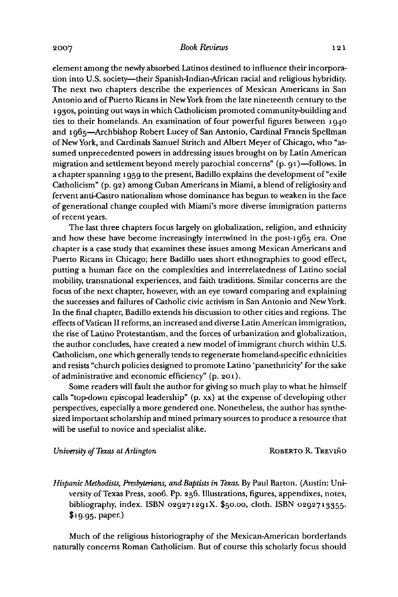2007<br>Book Reviews<br>clament emerge the newly obtained a lettings destined to influence their incomen element among the newly absorbed Latinos destined to influence their incorporation into U.S. society—their Spanish-Indian-African racial and religious hybridity. The next two chapters describe the experiences of Mexican Americans in San Antonio and of Puerto Ricans in New York from the late nineteenth century to the <sup>1</sup> 930s, pointing out ways in which Catholicism promoted community-building and ties to their homelands. An examination of four powerful figures between 1940 and 1965—Archbishop Robert Lucey of San Antonio, Cardinal Francis Spellman of New York, and Cardinals Samuel Stritch and Albert Meyer of Chicago, who "assumed unprecedented powers in addressing issues brought on by Latin American migration and settlement beyond merely parochial concerns" (p. 91)—follows. In a chapter spanning 1959 to the present, Badillo explains the development of "exile" Catholicism" (p. 92) among Cuban Americans in Miami, a blend of religiosity and fervent anti-Castro nationalism whose dominance has begun to weaken in the face of generational change coupled with Miami's more diverse immigration patterns of recent years.

The last three chapters focus largely on globalization, religion, and ethnicity and how these have become increasingly intertwined in the post-1965 era. One chapter is a case study that examines these issues among Mexican Americans and Puerto Ricans in Chicago; here Badillo uses short ethnographies to good effect, putting a human face on the complexities and interrelatedness of Latino social mobility, transnational experiences, and faith traditions. Similar concerns are the focus ofthe next chapter, however, with an eye toward comparing and explaining the successes and failures of Catholic civic activism in San Antonio and New York. In the final chapter, Badillo extends his discussion to other cities and regions. The effects ofVatican II reforms, an increased and diverse Latin American immigration, the rise of Latino Protestantism, and the forces of urbanization and globalization, the author concludes, have created a new model of immigrant church within U.S. Catholicism, one which generally tends to regenerate homeland-specific ethnicities and resists "church policies designed to promote Latino 'panethnicity' for the sake of administrative and economic efficiency" (p. 201).

Some readers will fault the author for giving so much play to what he himself calls "top-down episcopal leadership" (p. xx) at the expense of developing other perspectives, especially a more gendered one. Nonetheless, the author has synthesized important scholarship and mined primary sources to produce a resource that will be useful to novice and specialist alike. will be useful to novice and specialist alike.<br>University of Texas at Arlington Roberto R. Treviño

Hispanic Methodists, Presbyterians, and Baptists in Texas. By Paul Barton. (Austin: University of Texas Press, 2006. Pp. 256. Illustrations, figures, appendixes, notes, bibliography, index. ISBN 029271291X.  $$50.00$ , cloth. ISBN 0292713355. \$19-95. paper.)

Much of the religious historiography of the Mexican-American borderlands naturally concerns Roman Catholicism. But of course this scholarly focus should